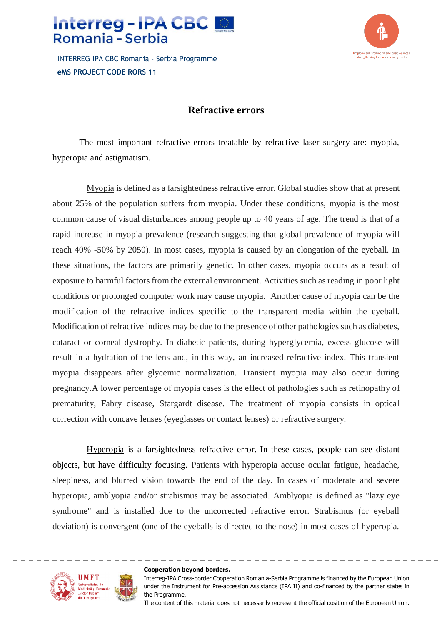

INTERREG IPA CBC Romania - Serbia Programme **eMS PROJECT CODE RORS 11**



## **Refractive errors**

The most important refractive errors treatable by refractive laser surgery are: myopia, hyperopia and astigmatism.

Myopia is defined as a farsightedness refractive error. Global studies show that at present about 25% of the population suffers from myopia. Under these conditions, myopia is the most common cause of visual disturbances among people up to 40 years of age. The trend is that of a rapid increase in myopia prevalence (research suggesting that global prevalence of myopia will reach 40% -50% by 2050). In most cases, myopia is caused by an elongation of the eyeball. In these situations, the factors are primarily genetic. In other cases, myopia occurs as a result of exposure to harmful factors from the external environment. Activities such as reading in poor light conditions or prolonged computer work may cause myopia. Another cause of myopia can be the modification of the refractive indices specific to the transparent media within the eyeball. Modification of refractive indices may be due to the presence of other pathologies such as diabetes, cataract or corneal dystrophy. In diabetic patients, during hyperglycemia, excess glucose will result in a hydration of the lens and, in this way, an increased refractive index. This transient myopia disappears after glycemic normalization. Transient myopia may also occur during pregnancy.A lower percentage of myopia cases is the effect of pathologies such as retinopathy of prematurity, Fabry disease, Stargardt disease. The treatment of myopia consists in optical correction with concave lenses (eyeglasses or contact lenses) or refractive surgery.

Hyperopia is a farsightedness refractive error. In these cases, people can see distant objects, but have difficulty focusing. Patients with hyperopia accuse ocular fatigue, headache, sleepiness, and blurred vision towards the end of the day. In cases of moderate and severe hyperopia, amblyopia and/or strabismus may be associated. Amblyopia is defined as "lazy eye syndrome" and is installed due to the uncorrected refractive error. Strabismus (or eyeball deviation) is convergent (one of the eyeballs is directed to the nose) in most cases of hyperopia.



## **Cooperation beyond borders.**

Interreg-IPA Cross-border Cooperation Romania-Serbia Programme is financed by the European Union under the Instrument for Pre-accession Assistance (IPA II) and co-financed by the partner states in the Programme.

The content of this material does not necessarily represent the official position of the European Union.